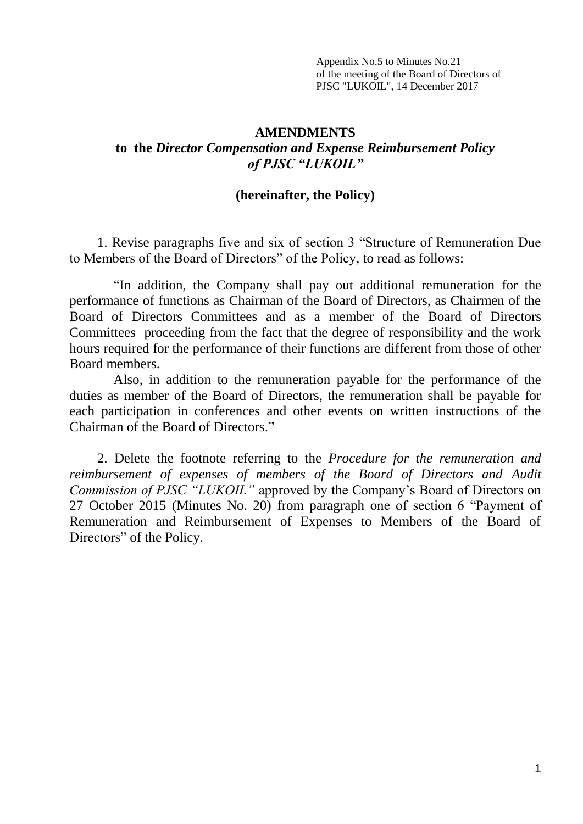Appendix No.5 to Minutes No.21 of the meeting of the Board of Directors of PJSC "LUKOIL", 14 December 2017

### **AMENDMENTS to the** *Director Compensation and Expense Reimbursement Policy of PJSC "LUKOIL"*

#### **(hereinafter, the Policy)**

1. Revise paragraphs five and six of section 3 "Structure of Remuneration Due to Members of the Board of Directors" of the Policy, to read as follows:

"In addition, the Company shall pay out additional remuneration for the performance of functions as Chairman of the Board of Directors, as Chairmen of the Board of Directors Committees and as a member of the Board of Directors Committees proceeding from the fact that the degree of responsibility and the work hours required for the performance of their functions are different from those of other Board members.

Also, in addition to the remuneration payable for the performance of the duties as member of the Board of Directors, the remuneration shall be payable for each participation in conferences and other events on written instructions of the Chairman of the Board of Directors."

2. Delete the footnote referring to the *Procedure for the remuneration and reimbursement of expenses of members of the Board of Directors and Audit Commission of PJSC "LUKOIL"* approved by the Company's Board of Directors on 27 October 2015 (Minutes No. 20) from paragraph one of section 6 "Payment of Remuneration and Reimbursement of Expenses to Members of the Board of Directors" of the Policy.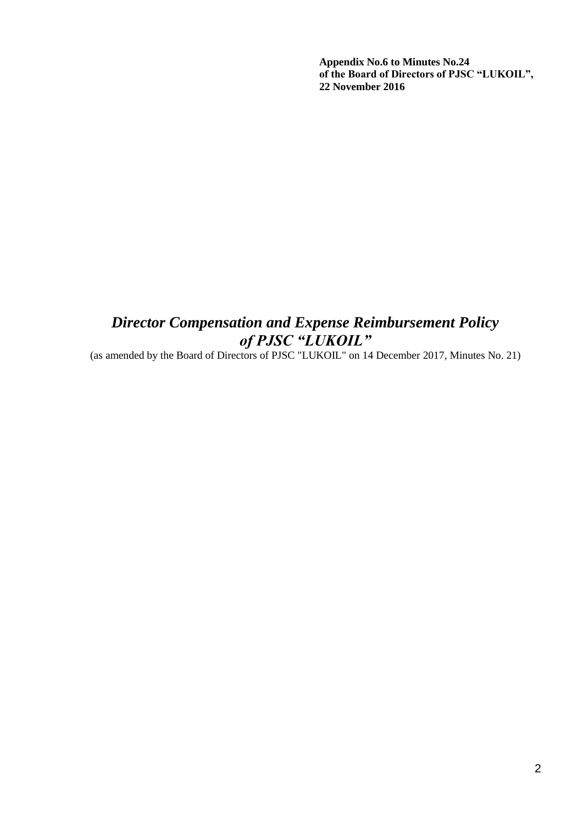**Appendix No.6 to Minutes No.24 of the Board of Directors of PJSC "LUKOIL", 22 November 2016**

# *Director Compensation and Expense Reimbursement Policy of PJSC "LUKOIL"*

(as amended by the Board of Directors of PJSC "LUKOIL" on 14 December 2017, Minutes No. 21)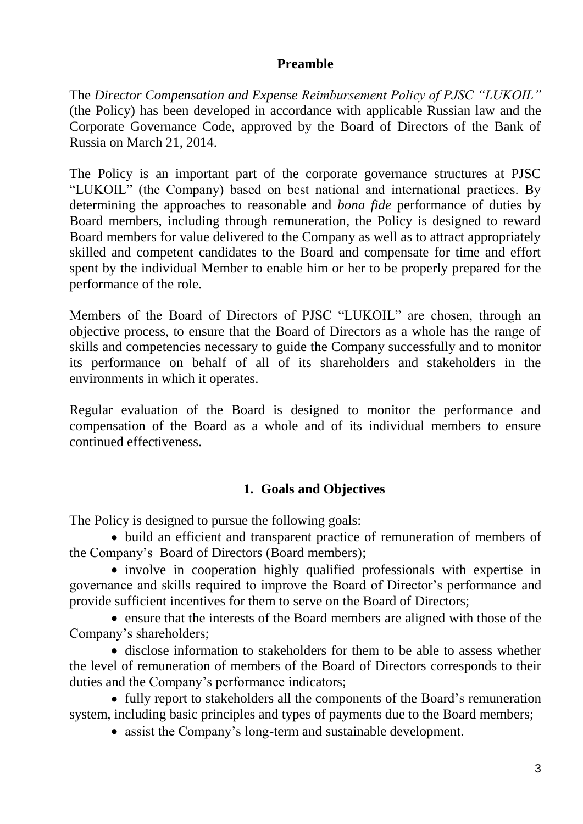### **Preamble**

The *Director Compensation and Expense Reimbursement Policy of PJSC "LUKOIL"* (the Policy) has been developed in accordance with applicable Russian law and the Corporate Governance Code, approved by the Board of Directors of the Bank of Russia on March 21, 2014.

The Policy is an important part of the corporate governance structures at PJSC "LUKOIL" (the Company) based on best national and international practices. By determining the approaches to reasonable and *bona fide* performance of duties by Board members, including through remuneration, the Policy is designed to reward Board members for value delivered to the Company as well as to attract appropriately skilled and competent candidates to the Board and compensate for time and effort spent by the individual Member to enable him or her to be properly prepared for the performance of the role.

Members of the Board of Directors of PJSC "LUKOIL" are chosen, through an objective process, to ensure that the Board of Directors as a whole has the range of skills and competencies necessary to guide the Company successfully and to monitor its performance on behalf of all of its shareholders and stakeholders in the environments in which it operates.

Regular evaluation of the Board is designed to monitor the performance and compensation of the Board as a whole and of its individual members to ensure continued effectiveness.

## **1. Goals and Objectives**

The Policy is designed to pursue the following goals:

build an efficient and transparent practice of remuneration of members of the Company's Board of Directors (Board members);

• involve in cooperation highly qualified professionals with expertise in governance and skills required to improve the Board of Director's performance and provide sufficient incentives for them to serve on the Board of Directors;

ensure that the interests of the Board members are aligned with those of the Company's shareholders;

disclose information to stakeholders for them to be able to assess whether the level of remuneration of members of the Board of Directors corresponds to their duties and the Company's performance indicators;

• fully report to stakeholders all the components of the Board's remuneration system, including basic principles and types of payments due to the Board members;

assist the Company's long-term and sustainable development.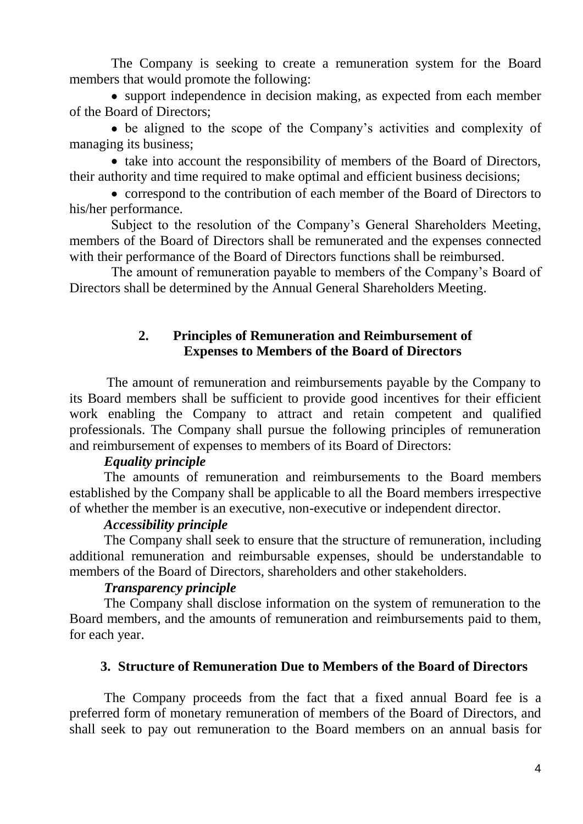The Company is seeking to create a remuneration system for the Board members that would promote the following:

• support independence in decision making, as expected from each member of the Board of Directors;

be aligned to the scope of the Company's activities and complexity of managing its business;

• take into account the responsibility of members of the Board of Directors, their authority and time required to make optimal and efficient business decisions;

• correspond to the contribution of each member of the Board of Directors to his/her performance.

Subject to the resolution of the Company's General Shareholders Meeting, members of the Board of Directors shall be remunerated and the expenses connected with their performance of the Board of Directors functions shall be reimbursed.

The amount of remuneration payable to members of the Company's Board of Directors shall be determined by the Annual General Shareholders Meeting.

### **2. Principles of Remuneration and Reimbursement of Expenses to Members of the Board of Directors**

The amount of remuneration and reimbursements payable by the Company to its Board members shall be sufficient to provide good incentives for their efficient work enabling the Company to attract and retain competent and qualified professionals. The Company shall pursue the following principles of remuneration and reimbursement of expenses to members of its Board of Directors:

### *Equality principle*

The amounts of remuneration and reimbursements to the Board members established by the Company shall be applicable to all the Board members irrespective of whether the member is an executive, non-executive or independent director.

### *Accessibility principle*

The Company shall seek to ensure that the structure of remuneration, including additional remuneration and reimbursable expenses, should be understandable to members of the Board of Directors, shareholders and other stakeholders.

## *Transparency principle*

The Company shall disclose information on the system of remuneration to the Board members, and the amounts of remuneration and reimbursements paid to them, for each year.

### **3. Structure of Remuneration Due to Members of the Board of Directors**

The Company proceeds from the fact that a fixed annual Board fee is a preferred form of monetary remuneration of members of the Board of Directors, and shall seek to pay out remuneration to the Board members on an annual basis for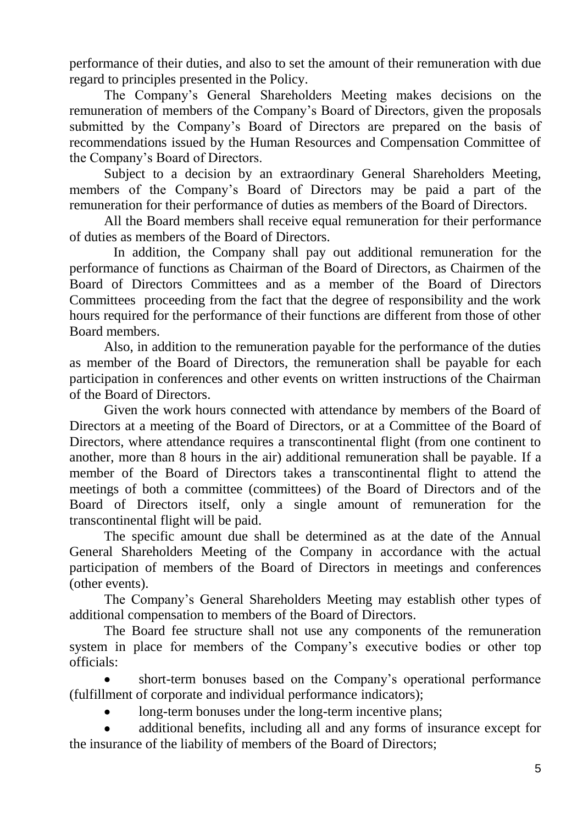performance of their duties, and also to set the amount of their remuneration with due regard to principles presented in the Policy.

The Company's General Shareholders Meeting makes decisions on the remuneration of members of the Company's Board of Directors, given the proposals submitted by the Company's Board of Directors are prepared on the basis of recommendations issued by the Human Resources and Compensation Committee of the Company's Board of Directors.

Subject to a decision by an extraordinary General Shareholders Meeting, members of the Company's Board of Directors may be paid a part of the remuneration for their performance of duties as members of the Board of Directors.

All the Board members shall receive equal remuneration for their performance of duties as members of the Board of Directors.

In addition, the Company shall pay out additional remuneration for the performance of functions as Chairman of the Board of Directors, as Chairmen of the Board of Directors Committees and as a member of the Board of Directors Committees proceeding from the fact that the degree of responsibility and the work hours required for the performance of their functions are different from those of other Board members.

Also, in addition to the remuneration payable for the performance of the duties as member of the Board of Directors, the remuneration shall be payable for each participation in conferences and other events on written instructions of the Chairman of the Board of Directors.

Given the work hours connected with attendance by members of the Board of Directors at a meeting of the Board of Directors, or at a Committee of the Board of Directors, where attendance requires a transcontinental flight (from one continent to another, more than 8 hours in the air) additional remuneration shall be payable. If a member of the Board of Directors takes a transcontinental flight to attend the meetings of both a committee (committees) of the Board of Directors and of the Board of Directors itself, only a single amount of remuneration for the transcontinental flight will be paid.

The specific amount due shall be determined as at the date of the Annual General Shareholders Meeting of the Company in accordance with the actual participation of members of the Board of Directors in meetings and conferences (other events).

The Company's General Shareholders Meeting may establish other types of additional compensation to members of the Board of Directors.

The Board fee structure shall not use any components of the remuneration system in place for members of the Company's executive bodies or other top officials:

short-term bonuses based on the Company's operational performance (fulfillment of corporate and individual performance indicators);

long-term bonuses under the long-term incentive plans;

additional benefits, including all and any forms of insurance except for the insurance of the liability of members of the Board of Directors;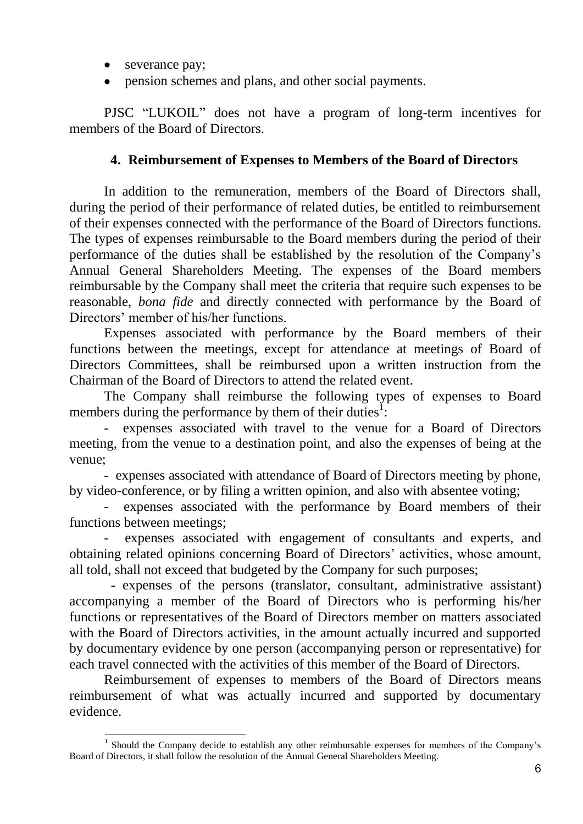• severance pay;

1

• pension schemes and plans, and other social payments.

PJSC "LUKOIL" does not have a program of long-term incentives for members of the Board of Directors.

### **4. Reimbursement of Expenses to Members of the Board of Directors**

In addition to the remuneration, members of the Board of Directors shall, during the period of their performance of related duties, be entitled to reimbursement of their expenses connected with the performance of the Board of Directors functions. The types of expenses reimbursable to the Board members during the period of their performance of the duties shall be established by the resolution of the Company's Annual General Shareholders Meeting. The expenses of the Board members reimbursable by the Company shall meet the criteria that require such expenses to be reasonable, *bona fide* and directly connected with performance by the Board of Directors' member of his/her functions.

Expenses associated with performance by the Board members of their functions between the meetings, except for attendance at meetings of Board of Directors Committees, shall be reimbursed upon a written instruction from the Chairman of the Board of Directors to attend the related event.

The Company shall reimburse the following types of expenses to Board members during the performance by them of their duties<sup>1</sup>:

- expenses associated with travel to the venue for a Board of Directors meeting, from the venue to a destination point, and also the expenses of being at the venue;

- expenses associated with attendance of Board of Directors meeting by phone, by video-conference, or by filing a written opinion, and also with absentee voting;

expenses associated with the performance by Board members of their functions between meetings;

expenses associated with engagement of consultants and experts, and obtaining related opinions concerning Board of Directors' activities, whose amount, all told, shall not exceed that budgeted by the Company for such purposes;

 - expenses of the persons (translator, consultant, administrative assistant) accompanying a member of the Board of Directors who is performing his/her functions or representatives of the Board of Directors member on matters associated with the Board of Directors activities, in the amount actually incurred and supported by documentary evidence by one person (accompanying person or representative) for each travel connected with the activities of this member of the Board of Directors.

Reimbursement of expenses to members of the Board of Directors means reimbursement of what was actually incurred and supported by documentary evidence.

<sup>&</sup>lt;sup>1</sup> Should the Company decide to establish any other reimbursable expenses for members of the Company's Board of Directors, it shall follow the resolution of the Annual General Shareholders Meeting.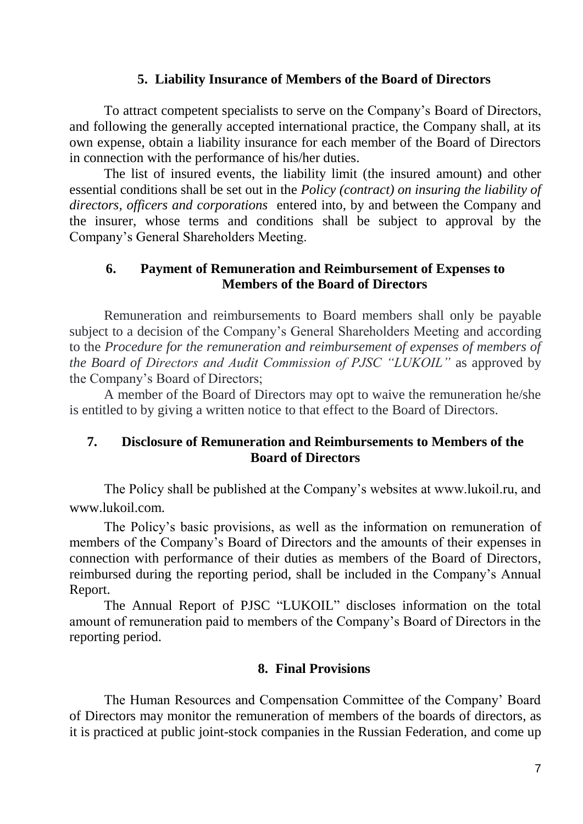### **5. Liability Insurance of Members of the Board of Directors**

To attract competent specialists to serve on the Company's Board of Directors, and following the generally accepted international practice, the Company shall, at its own expense, obtain a liability insurance for each member of the Board of Directors in connection with the performance of his/her duties.

The list of insured events, the liability limit (the insured amount) and other essential conditions shall be set out in the *Policy (contract) on insuring the liability of directors, officers and corporations* entered into, by and between the Company and the insurer, whose terms and conditions shall be subject to approval by the Company's General Shareholders Meeting.

### **6. Payment of Remuneration and Reimbursement of Expenses to Members of the Board of Directors**

Remuneration and reimbursements to Board members shall only be payable subject to a decision of the Company's General Shareholders Meeting and according to the *Procedure for the remuneration and reimbursement of expenses of members of the Board of Directors and Audit Commission of PJSC "LUKOIL"* as approved by the Company's Board of Directors;

A member of the Board of Directors may opt to waive the remuneration he/she is entitled to by giving a written notice to that effect to the Board of Directors.

#### **7. Disclosure of Remuneration and Reimbursements to Members of the Board of Directors**

The Policy shall be published at the Company's websites at www.lukoil.ru, and www.lukoil.com.

The Policy's basic provisions, as well as the information on remuneration of members of the Company's Board of Directors and the amounts of their expenses in connection with performance of their duties as members of the Board of Directors, reimbursed during the reporting period, shall be included in the Company's Annual Report.

The Annual Report of PJSC "LUKOIL" discloses information on the total amount of remuneration paid to members of the Company's Board of Directors in the reporting period.

#### **8. Final Provisions**

The Human Resources and Compensation Committee of the Company' Board of Directors may monitor the remuneration of members of the boards of directors, as it is practiced at public joint-stock companies in the Russian Federation, and come up